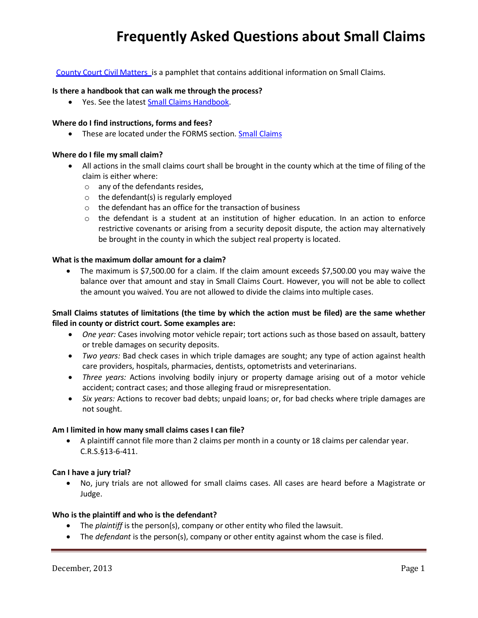# **Frequently Asked Questions about Small Claims**

County Court Civil [Matters](http://www.courts.state.co.us/userfiles/File/Media/Brochures/countycivil.pdf) is a pamphlet that contains additional information on Small Claims.

#### **Is there a handbook that can walk me through the process?**

• Yes. See the latest [Small Claims](http://www.courts.state.co.us/userfiles/file/Self_Help/smallclaimshandbook%20finaltocourt%204-11.pdf) Handbook.

### **Where do I find instructions, forms and fees?**

• These are located under the FORMS section. [Small Claims](http://www.courts.state.co.us/Forms/SubCategory.cfm?Category=Small)

#### **Where do I file my small claim?**

- All actions in the small claims court shall be brought in the county which at the time of filing of the claim is either where:
	- o any of the defendants resides,
	- $\circ$  the defendant(s) is regularly employed
	- o the defendant has an office for the transaction of business
	- $\circ$  the defendant is a student at an institution of higher education. In an action to enforce restrictive covenants or arising from a security deposit dispute, the action may alternatively be brought in the county in which the subject real property is located.

## **What is the maximum dollar amount for a claim?**

• The maximum is \$7,500.00 for a claim. If the claim amount exceeds \$7,500.00 you may waive the balance over that amount and stay in Small Claims Court. However, you will not be able to collect the amount you waived. You are not allowed to divide the claims into multiple cases.

## **Small Claims statutes of limitations (the time by which the action must be filed) are the same whether filed in county or district court. Some examples are:**

- *One year:* Cases involving motor vehicle repair; tort actions such as those based on assault, battery or treble damages on security deposits.
- *Two years:* Bad check cases in which triple damages are sought; any type of action against health care providers, hospitals, pharmacies, dentists, optometrists and veterinarians.
- *Three years:* Actions involving bodily injury or property damage arising out of a motor vehicle accident; contract cases; and those alleging fraud or misrepresentation.
- *Six years:* Actions to recover bad debts; unpaid loans; or, for bad checks where triple damages are not sought.

#### **Am I limited in how many small claims cases I can file?**

 A plaintiff cannot file more than 2 claims per month in a county or 18 claims per calendar year. C.R.S.§13-6-411.

#### **Can I have a jury trial?**

 No, jury trials are not allowed for small claims cases. All cases are heard before a Magistrate or Judge.

#### **Who is the plaintiff and who is the defendant?**

- The *plaintiff* is the person(s), company or other entity who filed the lawsuit.
- The *defendant* is the person(s), company or other entity against whom the case is filed.